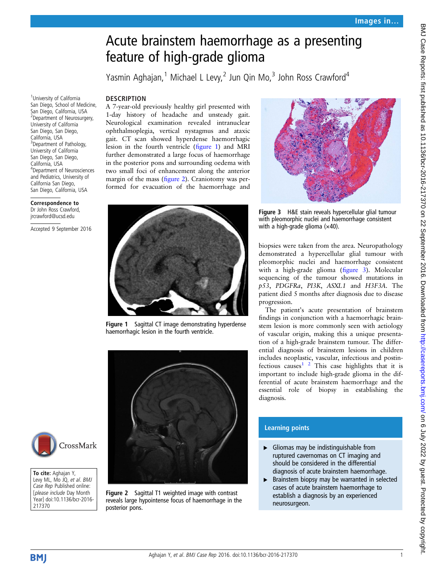# Acute brainstem haemorrhage as a presenting feature of high-grade glioma

Yasmin Aghajan,<sup>1</sup> Michael L Levy,<sup>2</sup> Jun Qin Mo,<sup>3</sup> John Ross Crawford<sup>4</sup>

#### **DESCRIPTION**

<sup>1</sup>University of California San Diego, School of Medicine, San Diego, California, USA 2 Department of Neurosurgery, University of California San Diego, San Diego, California, USA <sup>3</sup> Department of Pathology, University of California San Diego, San Diego, California, USA

4 Department of Neurosciences and Pediatrics, University of California San Diego, San Diego, California, USA Correspondence to Dr John Ross Crawford, jrcrawford@ucsd.edu

Accepted 9 September 2016

A 7-year-old previously healthy girl presented with 1-day history of headache and unsteady gait. Neurological examination revealed intranuclear ophthalmoplegia, vertical nystagmus and ataxic gait. CT scan showed hyperdense haemorrhagic lesion in the fourth ventricle (figure 1) and MRI further demonstrated a large focus of haemorrhage in the posterior pons and surrounding oedema with two small foci of enhancement along the anterior margin of the mass (figure 2). Craniotomy was performed for evacuation of the haemorrhage and



Figure 1 Sagittal CT image demonstrating hyperdense haemorrhagic lesion in the fourth ventricle.





To cite: Aghajan Y, Levy ML, Mo JQ, et al. BMJ Case Rep Published online: [please include Day Month Year] doi:10.1136/bcr-2016- 217370





Figure 3 H&E stain reveals hypercellular glial tumour with pleomorphic nuclei and haemorrhage consistent with a high-grade glioma  $(x40)$ .

biopsies were taken from the area. Neuropathology demonstrated a hypercellular glial tumour with pleomorphic nuclei and haemorrhage consistent with a high-grade glioma (figure 3). Molecular sequencing of the tumour showed mutations in p53, PDGFRa, PI3K, ASXL1 and H3F3A. The patient died 5 months after diagnosis due to disease progression.

The patient's acute presentation of brainstem findings in conjunction with a haemorrhagic brainstem lesion is more commonly seen with aetiology of vascular origin, making this a unique presentation of a high-grade brainstem tumour. The differential diagnosis of brainstem lesions in children includes neoplastic, vascular, infectious and postinfectious causes<sup>1</sup><sup>2</sup> This case highlights that it is important to include high-grade glioma in the differential of acute brainstem haemorrhage and the essential role of biopsy in establishing the diagnosis.

### Learning points

- $\blacktriangleright$  Gliomas may be indistinguishable from ruptured cavernomas on CT imaging and should be considered in the differential diagnosis of acute brainstem haemorrhage.
- ▶ Brainstem biopsy may be warranted in selected cases of acute brainstem haemorrhage to establish a diagnosis by an experienced neurosurgeon.